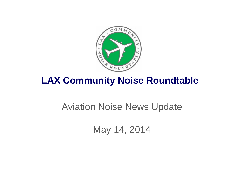

## **LAX Community Noise Roundtable**

## Aviation Noise News Update

May 14, 2014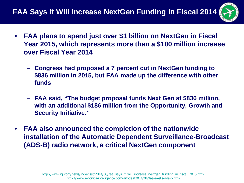

- **FAA plans to spend just over \$1 billion on NextGen in Fiscal Year 2015, which represents more than a \$100 million increase over Fiscal Year 2014**
	- **Congress had proposed a 7 percent cut in NextGen funding to \$836 million in 2015, but FAA made up the difference with other funds**
	- **FAA said, "The budget proposal funds Next Gen at \$836 million, with an additional \$186 million from the Opportunity, Growth and Security Initiative."**
- **FAA also announced the completion of the nationwide installation of the Automatic Dependent Surveillance-Broadcast (ADS-B) radio network, a critical NextGen component**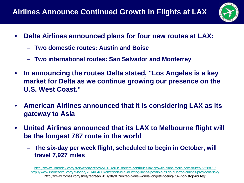

- **Delta Airlines announced plans for four new routes at LAX:**
	- **Two domestic routes: Austin and Boise**
	- **Two international routes: San Salvador and Monterrey**
- **In announcing the routes Delta stated, "Los Angeles is a key market for Delta as we continue growing our presence on the U.S. West Coast."**
- **American Airlines announced that it is considering LAX as its gateway to Asia**
- **United Airlines announced that its LAX to Melbourne flight will be the longest 787 route in the world**
	- **The six-day per week flight, scheduled to begin in October, will travel 7,927 miles**

<http://www.usatoday.com/story/todayinthesky/2014/03/18/delta-continues-lax-growth-plans-more-new-routes/6558871/> <http://www.insidesocal.com/aviation/2014/04/11/american-is-evaluating-lax-as-possible-asian-hub-the-airlines-president-said/> http://www.forbes.com/sites/tedreed/2014/04/07/united-plans-worlds-longest-boeing-787-non-stop-routes/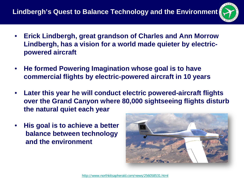

- **Erick Lindbergh, great grandson of Charles and Ann Morrow Lindbergh, has a vision for a world made quieter by electricpowered aircraft**
- **He formed Powering Imagination whose goal is to have commercial flights by electric-powered aircraft in 10 years**
- **Later this year he will conduct electric powered-aircraft flights over the Grand Canyon where 80,000 sightseeing flights disturb the natural quiet each year**
- **His goal is to achieve a better balance between technology and the environment**

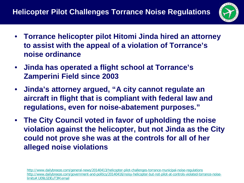

- **Torrance helicopter pilot Hitomi Jinda hired an attorney to assist with the appeal of a violation of Torrance's noise ordinance**
- **Jinda has operated a flight school at Torrance's Zamperini Field since 2003**
- **Jinda's attorney argued, "A city cannot regulate an aircraft in flight that is compliant with federal law and regulations, even for noise-abatement purposes."**
- **The City Council voted in favor of upholding the noise violation against the helicopter, but not Jinda as the City could not prove she was at the controls for all of her alleged noise violations**

<http://www.dailybreeze.com/general-news/20140413/helicopter-pilot-challenges-torrance-municipal-noise-regulations> [http://www.dailybreeze.com/government-and-politics/20140416/noisy-helicopter-but-not-pilot-at-controls-violated-torrance-noise](http://www.dailybreeze.com/government-and-politics/20140416/noisy-helicopter-but-not-pilot-at-controls-violated-torrance-noise-limits.U09LGDEuT3M.email)[limits#.U09LGDEuT3M.email](http://www.dailybreeze.com/government-and-politics/20140416/noisy-helicopter-but-not-pilot-at-controls-violated-torrance-noise-limits.U09LGDEuT3M.email)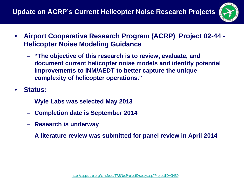

- **Airport Cooperative Research Program (ACRP) Project 02-44 - Helicopter Noise Modeling Guidance**
	- **"The objective of this research is to review, evaluate, and document current helicopter noise models and identify potential improvements to INM/AEDT to better capture the unique complexity of helicopter operations."**
- **Status:**
	- **Wyle Labs was selected May 2013**
	- **Completion date is September 2014**
	- **Research is underway**
	- **A literature review was submitted for panel review in April 2014**